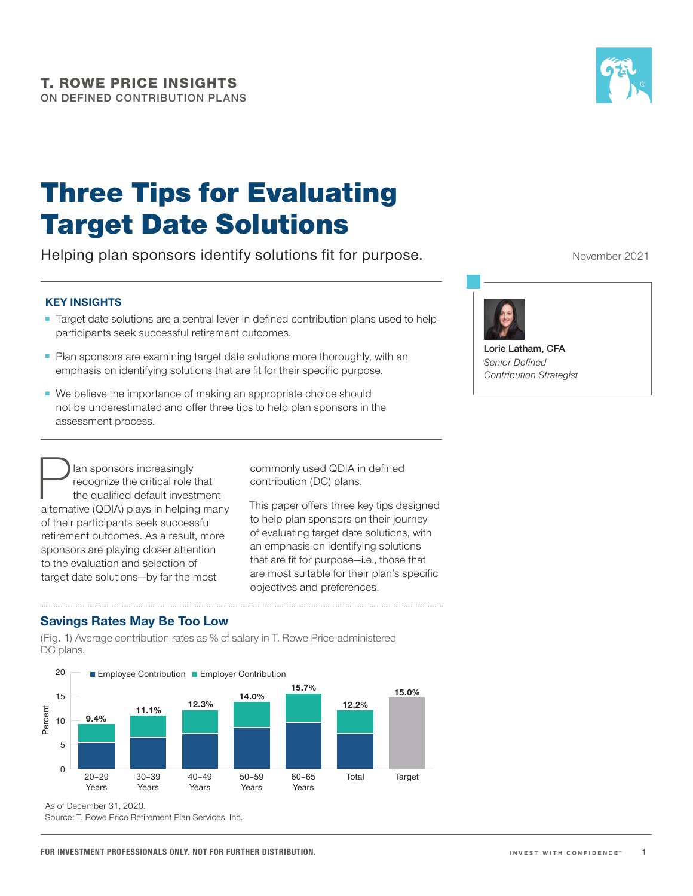

## Three Tips for Evaluating Target Date Solutions

Helping plan sponsors identify solutions fit for purpose.

## **KEY INSIGHTS**

- Target date solutions are a central lever in defined contribution plans used to help participants seek successful retirement outcomes.
- Plan sponsors are examining target date solutions more thoroughly, with an emphasis on identifying solutions that are fit for their specific purpose.
- We believe the importance of making an appropriate choice should not be underestimated and offer three tips to help plan sponsors in the assessment process.

**Plan sponsors increasingly<br>
recognize the critical role that<br>
the qualified default investment<br>
alternative (QDIA) plays in helping many** recognize the critical role that the qualified default investment of their participants seek successful retirement outcomes. As a result, more sponsors are playing closer attention to the evaluation and selection of target date solutions—by far the most

commonly used QDIA in defined contribution (DC) plans.

This paper offers three key tips designed to help plan sponsors on their journey of evaluating target date solutions, with an emphasis on identifying solutions that are fit for purpose—i.e., those that are most suitable for their plan's specific objectives and preferences.

## **Savings Rates May Be Too Low**

(Fig. 1) Average contribution rates as % of salary in T. Rowe Price-administered DC plans.



As of December 31, 2020.

Source: T. Rowe Price Retirement Plan Services, Inc.

November 2021



**Lorie Latham, CFA** *Senior Defined Contribution Strategist*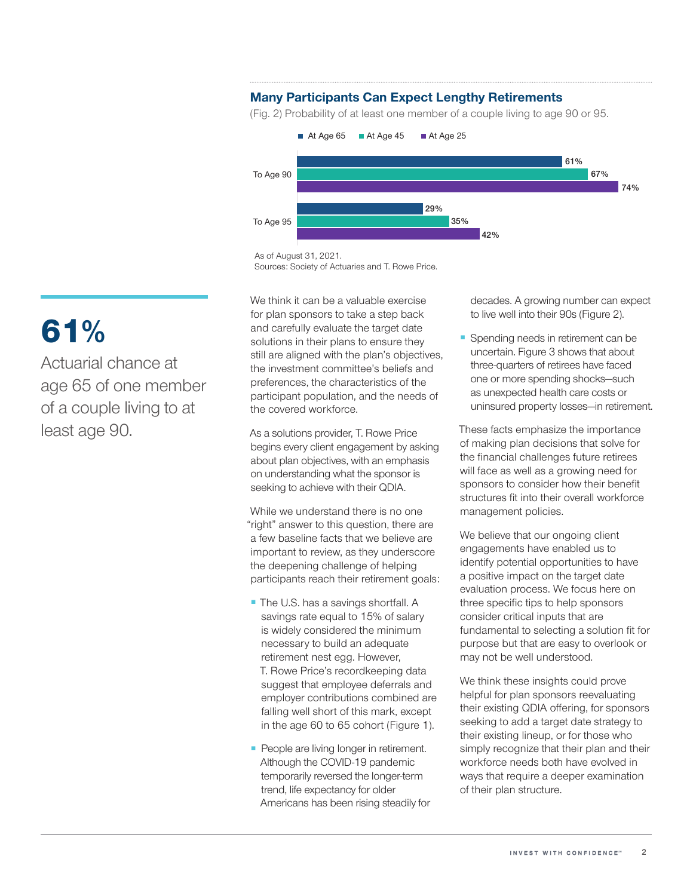## **Many Participants Can Expect Lengthy Retirements**

(Fig. 2) Probability of at least one member of a couple living to age 90 or 95.



As of August 31, 2021.

We think it can be a valuable exercise for plan sponsors to take a step back and carefully evaluate the target date solutions in their plans to ensure they still are aligned with the plan's objectives, the investment committee's beliefs and preferences, the characteristics of the participant population, and the needs of the covered workforce.

As a solutions provider, T. Rowe Price begins every client engagement by asking about plan objectives, with an emphasis on understanding what the sponsor is seeking to achieve with their QDIA.

While we understand there is no one "right" answer to this question, there are a few baseline facts that we believe are important to review, as they underscore the deepening challenge of helping participants reach their retirement goals:

- The U.S. has a savings shortfall. A savings rate equal to 15% of salary is widely considered the minimum necessary to build an adequate retirement nest egg. However, T. Rowe Price's recordkeeping data suggest that employee deferrals and employer contributions combined are falling well short of this mark, except in the age 60 to 65 cohort (Figure 1).
- People are living longer in retirement. Although the COVID-19 pandemic temporarily reversed the longer-term trend, life expectancy for older Americans has been rising steadily for

decades. A growing number can expect to live well into their 90s (Figure 2).

Spending needs in retirement can be uncertain. Figure 3 shows that about three-quarters of retirees have faced one or more spending shocks—such as unexpected health care costs or uninsured property losses—in retirement.

These facts emphasize the importance of making plan decisions that solve for the financial challenges future retirees will face as well as a growing need for sponsors to consider how their benefit structures fit into their overall workforce management policies.

We believe that our ongoing client engagements have enabled us to identify potential opportunities to have a positive impact on the target date evaluation process. We focus here on three specific tips to help sponsors consider critical inputs that are fundamental to selecting a solution fit for purpose but that are easy to overlook or may not be well understood.

We think these insights could prove helpful for plan sponsors reevaluating their existing QDIA offering, for sponsors seeking to add a target date strategy to their existing lineup, or for those who simply recognize that their plan and their workforce needs both have evolved in ways that require a deeper examination of their plan structure.

# 61%

Actuarial chance at age 65 of one member of a couple living to at least age 90.

Sources: Society of Actuaries and T. Rowe Price.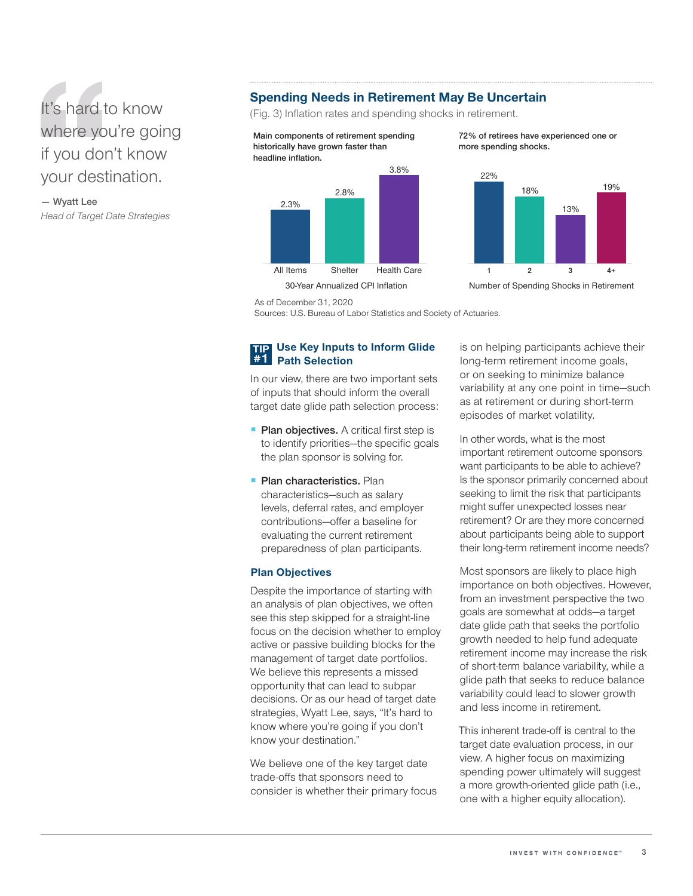## It's hard to know where you're going if you don't know your destination.

**— Wyatt Lee** *Head of Target Date Strategies*

## **Spending Needs in Retirement May Be Uncertain**

(Fig. 3) Inflation rates and spending shocks in retirement.

**Main components of retirement spending historically have grown faster than headline inflation.**



**72% of retirees have experienced one or more spending shocks.**



30-Year Annualized CPI Inflation Number of Spending Shocks in Retirement

As of December 31, 2020

Sources: U.S. Bureau of Labor Statistics and Society of Actuaries.

#### **TIP #1 Use Key Inputs to Inform Glide Path Selection**

In our view, there are two important sets of inputs that should inform the overall target date glide path selection process:

- **Plan objectives.** A critical first step is to identify priorities—the specific goals the plan sponsor is solving for.
- **Plan characteristics.** Plan characteristics—such as salary levels, deferral rates, and employer contributions—offer a baseline for evaluating the current retirement preparedness of plan participants.

## **Plan Objectives**

Despite the importance of starting with an analysis of plan objectives, we often see this step skipped for a straight-line focus on the decision whether to employ active or passive building blocks for the management of target date portfolios. We believe this represents a missed opportunity that can lead to subpar decisions. Or as our head of target date strategies, Wyatt Lee, says, "It's hard to know where you're going if you don't know your destination."

We believe one of the key target date trade-offs that sponsors need to consider is whether their primary focus is on helping participants achieve their long-term retirement income goals, or on seeking to minimize balance variability at any one point in time—such as at retirement or during short-term episodes of market volatility.

In other words, what is the most important retirement outcome sponsors want participants to be able to achieve? Is the sponsor primarily concerned about seeking to limit the risk that participants might suffer unexpected losses near retirement? Or are they more concerned about participants being able to support their long-term retirement income needs?

Most sponsors are likely to place high importance on both objectives. However, from an investment perspective the two goals are somewhat at odds—a target date glide path that seeks the portfolio growth needed to help fund adequate retirement income may increase the risk of short-term balance variability, while a glide path that seeks to reduce balance variability could lead to slower growth and less income in retirement.

This inherent trade-off is central to the target date evaluation process, in our view. A higher focus on maximizing spending power ultimately will suggest a more growth-oriented glide path (i.e., one with a higher equity allocation).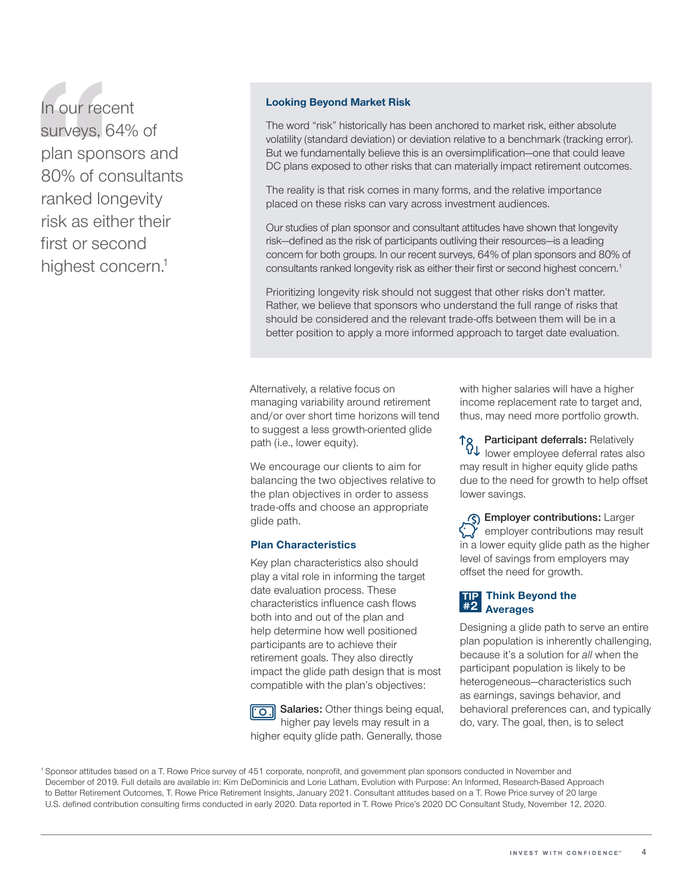In our recent surveys, 64% of plan sponsors and 80% of consultants ranked longevity risk as either their first or second highest concern.<sup>1</sup>

## **Looking Beyond Market Risk**

The word "risk" historically has been anchored to market risk, either absolute volatility (standard deviation) or deviation relative to a benchmark (tracking error). But we fundamentally believe this is an oversimplification—one that could leave DC plans exposed to other risks that can materially impact retirement outcomes.

The reality is that risk comes in many forms, and the relative importance placed on these risks can vary across investment audiences.

Our studies of plan sponsor and consultant attitudes have shown that longevity risk—defined as the risk of participants outliving their resources—is a leading concern for both groups. In our recent surveys, 64% of plan sponsors and 80% of consultants ranked longevity risk as either their first or second highest concern.<sup>1</sup>

Prioritizing longevity risk should not suggest that other risks don't matter. Rather, we believe that sponsors who understand the full range of risks that should be considered and the relevant trade-offs between them will be in a better position to apply a more informed approach to target date evaluation.

Alternatively, a relative focus on managing variability around retirement and/or over short time horizons will tend to suggest a less growth-oriented glide path (i.e., lower equity).

We encourage our clients to aim for balancing the two objectives relative to the plan objectives in order to assess trade-offs and choose an appropriate glide path.

### **Plan Characteristics**

Key plan characteristics also should play a vital role in informing the target date evaluation process. These characteristics influence cash flows both into and out of the plan and help determine how well positioned participants are to achieve their retirement goals. They also directly impact the glide path design that is most compatible with the plan's objectives:

**Salaries:** Other things being equal, higher pay levels may result in a higher equity glide path. Generally, those

with higher salaries will have a higher income replacement rate to target and, thus, may need more portfolio growth.

**Participant deferrals:** Relatively lower employee deferral rates also may result in higher equity glide paths due to the need for growth to help offset lower savings.

**Employer contributions:** Larger  $\sum$  employer contributions may result in a lower equity glide path as the higher level of savings from employers may offset the need for growth.

#### **TIP #2 Think Beyond the Averages**

Designing a glide path to serve an entire plan population is inherently challenging, because it's a solution for *all* when the participant population is likely to be heterogeneous—characteristics such as earnings, savings behavior, and behavioral preferences can, and typically do, vary. The goal, then, is to select

<sup>1</sup> Sponsor attitudes based on a T. Rowe Price survey of 451 corporate, nonprofit, and government plan sponsors conducted in November and December of 2019. Full details are available in: Kim DeDominicis and Lorie Latham, Evolution with Purpose: An Informed, Research-Based Approach to Better Retirement Outcomes, T. Rowe Price Retirement Insights, January 2021. Consultant attitudes based on a T. Rowe Price survey of 20 large U.S. defined contribution consulting firms conducted in early 2020. Data reported in T. Rowe Price's 2020 DC Consultant Study, November 12, 2020.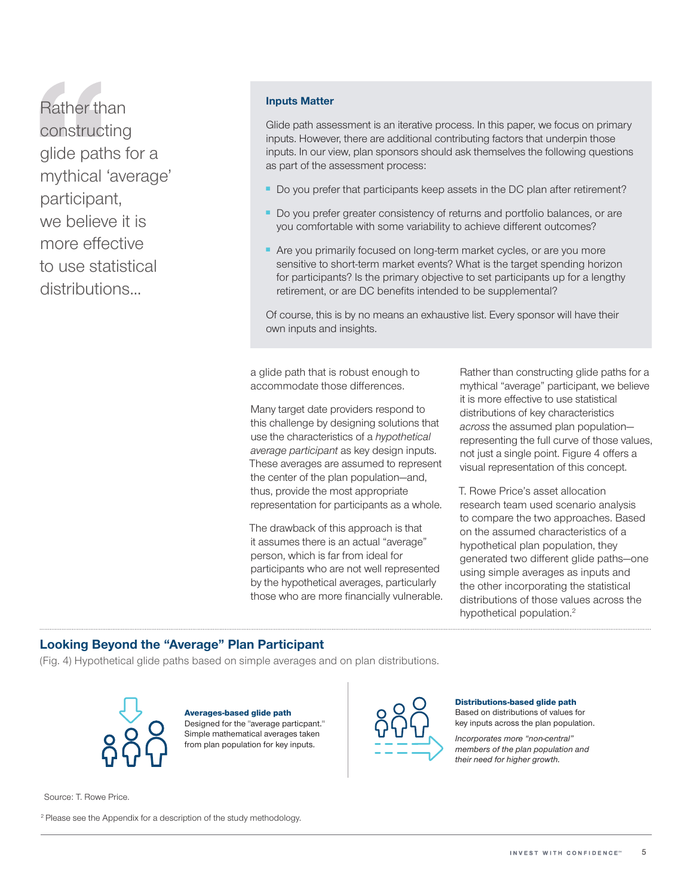Rather than constructing glide paths for a mythical 'average' participant, we believe it is more effective to use statistical distributions...

### **Inputs Matter**

Glide path assessment is an iterative process. In this paper, we focus on primary inputs. However, there are additional contributing factors that underpin those inputs. In our view, plan sponsors should ask themselves the following questions as part of the assessment process:

- Do you prefer that participants keep assets in the DC plan after retirement?
- Do you prefer greater consistency of returns and portfolio balances, or are you comfortable with some variability to achieve different outcomes?
- Are you primarily focused on long-term market cycles, or are you more sensitive to short-term market events? What is the target spending horizon for participants? Is the primary objective to set participants up for a lengthy retirement, or are DC benefits intended to be supplemental?

Of course, this is by no means an exhaustive list. Every sponsor will have their own inputs and insights.

a glide path that is robust enough to accommodate those differences.

Many target date providers respond to this challenge by designing solutions that use the characteristics of a *hypothetical average participant* as key design inputs. These averages are assumed to represent the center of the plan population—and, thus, provide the most appropriate representation for participants as a whole.

The drawback of this approach is that it assumes there is an actual "average" person, which is far from ideal for participants who are not well represented by the hypothetical averages, particularly those who are more financially vulnerable. Rather than constructing glide paths for a mythical "average" participant, we believe it is more effective to use statistical distributions of key characteristics *across* the assumed plan population representing the full curve of those values, not just a single point. Figure 4 offers a visual representation of this concept.

T. Rowe Price's asset allocation research team used scenario analysis to compare the two approaches. Based on the assumed characteristics of a hypothetical plan population, they generated two different glide paths—one using simple averages as inputs and the other incorporating the statistical distributions of those values across the hypothetical population.<sup>2</sup>

## **Looking Beyond the "Average" Plan Participant**

(Fig. 4) Hypothetical glide paths based on simple averages and on plan distributions.



Averages-based glide path Designed for the "average particpant." Simple mathematical averages taken from plan population for key inputs.



#### Distributions-based glide path

Based on distributions of values for key inputs across the plan population.

*Incorporates more "non-central" members of the plan population and their need for higher growth.*

Source: T. Rowe Price.

<sup>2</sup> Please see the Appendix for a description of the study methodology.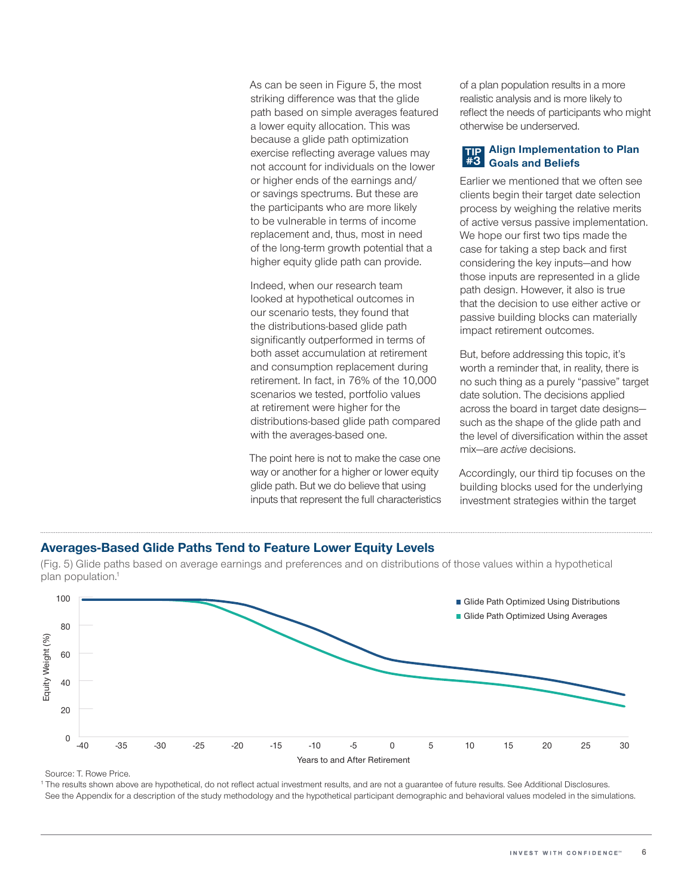As can be seen in Figure 5, the most striking difference was that the glide path based on simple averages featured a lower equity allocation. This was because a glide path optimization exercise reflecting average values may not account for individuals on the lower or higher ends of the earnings and/ or savings spectrums. But these are the participants who are more likely to be vulnerable in terms of income replacement and, thus, most in need of the long-term growth potential that a higher equity glide path can provide.

Indeed, when our research team looked at hypothetical outcomes in our scenario tests, they found that the distributions-based glide path significantly outperformed in terms of both asset accumulation at retirement and consumption replacement during retirement. In fact, in 76% of the 10,000 scenarios we tested, portfolio values at retirement were higher for the distributions-based glide path compared with the averages-based one.

The point here is not to make the case one way or another for a higher or lower equity glide path. But we do believe that using inputs that represent the full characteristics of a plan population results in a more realistic analysis and is more likely to reflect the needs of participants who might otherwise be underserved.

#### **TIP #3 Align Implementation to Plan Goals and Beliefs**

Earlier we mentioned that we often see clients begin their target date selection process by weighing the relative merits of active versus passive implementation. We hope our first two tips made the case for taking a step back and first considering the key inputs—and how those inputs are represented in a glide path design. However, it also is true that the decision to use either active or passive building blocks can materially impact retirement outcomes.

But, before addressing this topic, it's worth a reminder that, in reality, there is no such thing as a purely "passive" target date solution. The decisions applied across the board in target date designs such as the shape of the glide path and the level of diversification within the asset mix—are *active* decisions.

Accordingly, our third tip focuses on the building blocks used for the underlying investment strategies within the target

## **Averages‑Based Glide Paths Tend to Feature Lower Equity Levels**



(Fig. 5) Glide paths based on average earnings and preferences and on distributions of those values within a hypothetical plan population.<sup>1</sup>

Source: T. Rowe Price.

<sup>1</sup> The results shown above are hypothetical, do not reflect actual investment results, and are not a guarantee of future results. See Additional Disclosures. See the Appendix for a description of the study methodology and the hypothetical participant demographic and behavioral values modeled in the simulations.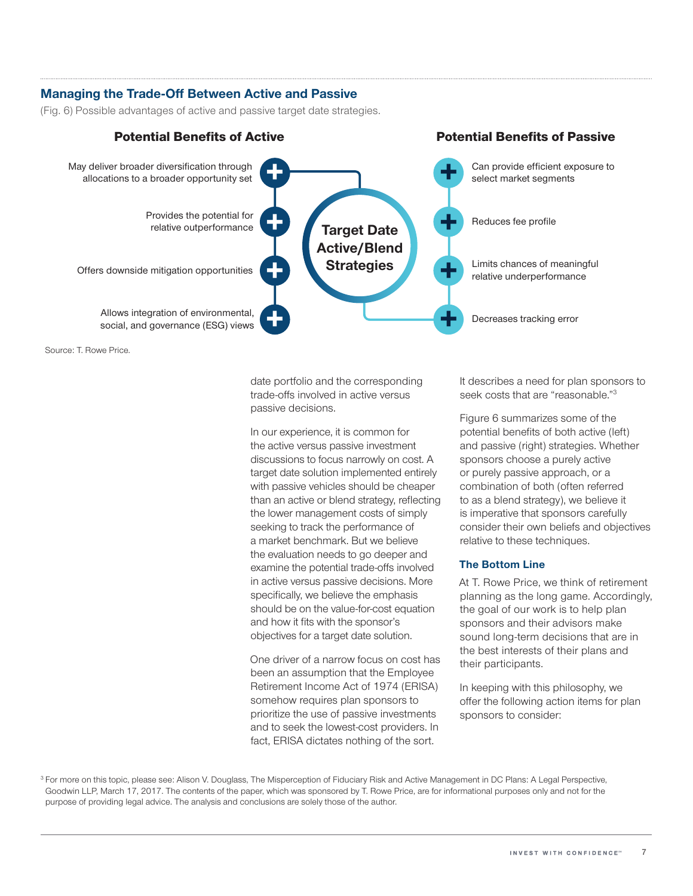## **Managing the Trade-Off Between Active and Passive**

(Fig. 6) Possible advantages of active and passive target date strategies.



Source: T. Rowe Price.

date portfolio and the corresponding trade-offs involved in active versus passive decisions.

In our experience, it is common for the active versus passive investment discussions to focus narrowly on cost. A target date solution implemented entirely with passive vehicles should be cheaper than an active or blend strategy, reflecting the lower management costs of simply seeking to track the performance of a market benchmark. But we believe the evaluation needs to go deeper and examine the potential trade-offs involved in active versus passive decisions. More specifically, we believe the emphasis should be on the value-for-cost equation and how it fits with the sponsor's objectives for a target date solution.

One driver of a narrow focus on cost has been an assumption that the Employee Retirement Income Act of 1974 (ERISA) somehow requires plan sponsors to prioritize the use of passive investments and to seek the lowest-cost providers. In fact, ERISA dictates nothing of the sort.

It describes a need for plan sponsors to seek costs that are "reasonable."3

Figure 6 summarizes some of the potential benefits of both active (left) and passive (right) strategies. Whether sponsors choose a purely active or purely passive approach, or a combination of both (often referred to as a blend strategy), we believe it is imperative that sponsors carefully consider their own beliefs and objectives relative to these techniques.

## **The Bottom Line**

At T. Rowe Price, we think of retirement planning as the long game. Accordingly, the goal of our work is to help plan sponsors and their advisors make sound long-term decisions that are in the best interests of their plans and their participants.

In keeping with this philosophy, we offer the following action items for plan sponsors to consider:

<sup>3</sup> For more on this topic, please see: Alison V. Douglass, The Misperception of Fiduciary Risk and Active Management in DC Plans: A Legal Perspective, Goodwin LLP, March 17, 2017. The contents of the paper, which was sponsored by T. Rowe Price, are for informational purposes only and not for the purpose of providing legal advice. The analysis and conclusions are solely those of the author.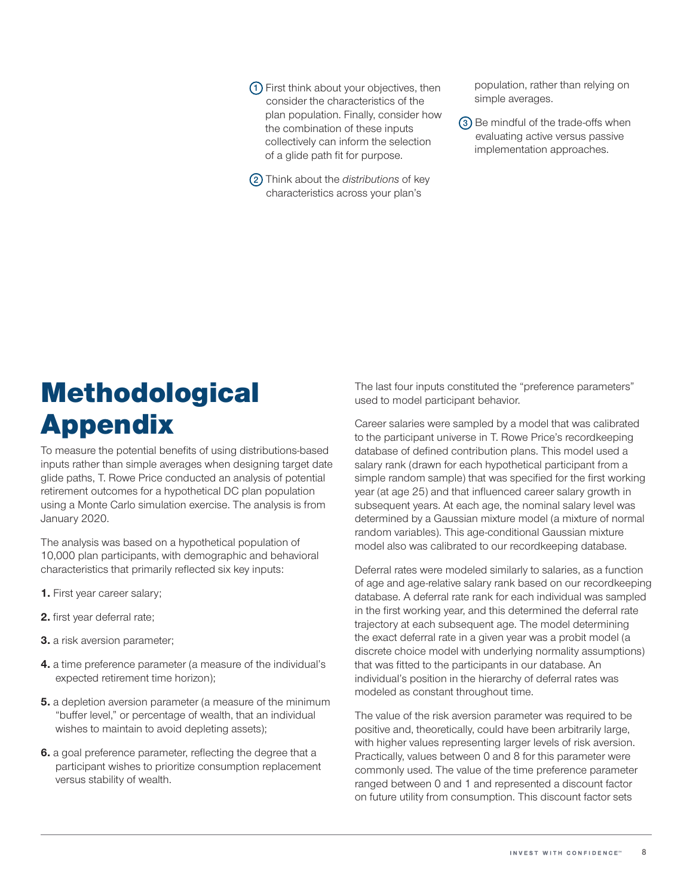**1** First think about your objectives, then consider the characteristics of the plan population. Finally, consider how the combination of these inputs collectively can inform the selection of a glide path fit for purpose.

**2** Think about the *distributions* of key characteristics across your plan's

population, rather than relying on simple averages.

**3** Be mindful of the trade-offs when evaluating active versus passive implementation approaches.

# **Methodological** Appendix

To measure the potential benefits of using distributions-based inputs rather than simple averages when designing target date glide paths, T. Rowe Price conducted an analysis of potential retirement outcomes for a hypothetical DC plan population using a Monte Carlo simulation exercise. The analysis is from January 2020.

The analysis was based on a hypothetical population of 10,000 plan participants, with demographic and behavioral characteristics that primarily reflected six key inputs:

- **1.** First year career salary;
- **2.** first year deferral rate;
- **3.** a risk aversion parameter;
- **4.** a time preference parameter (a measure of the individual's expected retirement time horizon);
- **5.** a depletion aversion parameter (a measure of the minimum "buffer level," or percentage of wealth, that an individual wishes to maintain to avoid depleting assets);
- **6.** a goal preference parameter, reflecting the degree that a participant wishes to prioritize consumption replacement versus stability of wealth.

The last four inputs constituted the "preference parameters" used to model participant behavior.

Career salaries were sampled by a model that was calibrated to the participant universe in T. Rowe Price's recordkeeping database of defined contribution plans. This model used a salary rank (drawn for each hypothetical participant from a simple random sample) that was specified for the first working year (at age 25) and that influenced career salary growth in subsequent years. At each age, the nominal salary level was determined by a Gaussian mixture model (a mixture of normal random variables). This age-conditional Gaussian mixture model also was calibrated to our recordkeeping database.

Deferral rates were modeled similarly to salaries, as a function of age and age-relative salary rank based on our recordkeeping database. A deferral rate rank for each individual was sampled in the first working year, and this determined the deferral rate trajectory at each subsequent age. The model determining the exact deferral rate in a given year was a probit model (a discrete choice model with underlying normality assumptions) that was fitted to the participants in our database. An individual's position in the hierarchy of deferral rates was modeled as constant throughout time.

The value of the risk aversion parameter was required to be positive and, theoretically, could have been arbitrarily large, with higher values representing larger levels of risk aversion. Practically, values between 0 and 8 for this parameter were commonly used. The value of the time preference parameter ranged between 0 and 1 and represented a discount factor on future utility from consumption. This discount factor sets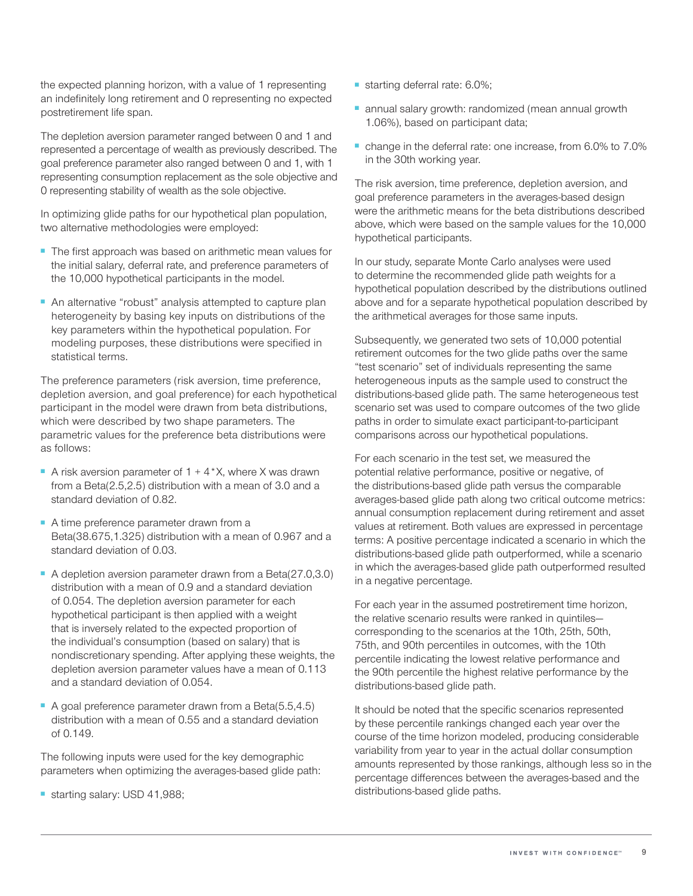the expected planning horizon, with a value of 1 representing an indefinitely long retirement and 0 representing no expected postretirement life span.

The depletion aversion parameter ranged between 0 and 1 and represented a percentage of wealth as previously described. The goal preference parameter also ranged between 0 and 1, with 1 representing consumption replacement as the sole objective and 0 representing stability of wealth as the sole objective.

In optimizing glide paths for our hypothetical plan population, two alternative methodologies were employed:

- The first approach was based on arithmetic mean values for the initial salary, deferral rate, and preference parameters of the 10,000 hypothetical participants in the model.
- An alternative "robust" analysis attempted to capture plan heterogeneity by basing key inputs on distributions of the key parameters within the hypothetical population. For modeling purposes, these distributions were specified in statistical terms.

The preference parameters (risk aversion, time preference, depletion aversion, and goal preference) for each hypothetical participant in the model were drawn from beta distributions, which were described by two shape parameters. The parametric values for the preference beta distributions were as follows:

- A risk aversion parameter of  $1 + 4$ <sup>\*</sup>X, where X was drawn from a Beta(2.5,2.5) distribution with a mean of 3.0 and a standard deviation of 0.82.
- A time preference parameter drawn from a Beta(38.675,1.325) distribution with a mean of 0.967 and a standard deviation of 0.03.
- A depletion aversion parameter drawn from a Beta(27.0,3.0) distribution with a mean of 0.9 and a standard deviation of 0.054. The depletion aversion parameter for each hypothetical participant is then applied with a weight that is inversely related to the expected proportion of the individual's consumption (based on salary) that is nondiscretionary spending. After applying these weights, the depletion aversion parameter values have a mean of 0.113 and a standard deviation of 0.054.
- A goal preference parameter drawn from a Beta(5.5,4.5) distribution with a mean of 0.55 and a standard deviation of 0.149.

The following inputs were used for the key demographic parameters when optimizing the averages-based glide path:

■ starting salary: USD 41,988;

- starting deferral rate: 6.0%;
- annual salary growth: randomized (mean annual growth 1.06%), based on participant data;
- change in the deferral rate: one increase, from 6.0% to 7.0% in the 30th working year.

The risk aversion, time preference, depletion aversion, and goal preference parameters in the averages-based design were the arithmetic means for the beta distributions described above, which were based on the sample values for the 10,000 hypothetical participants.

In our study, separate Monte Carlo analyses were used to determine the recommended glide path weights for a hypothetical population described by the distributions outlined above and for a separate hypothetical population described by the arithmetical averages for those same inputs.

Subsequently, we generated two sets of 10,000 potential retirement outcomes for the two glide paths over the same "test scenario" set of individuals representing the same heterogeneous inputs as the sample used to construct the distributions-based glide path. The same heterogeneous test scenario set was used to compare outcomes of the two glide paths in order to simulate exact participant-to-participant comparisons across our hypothetical populations.

For each scenario in the test set, we measured the potential relative performance, positive or negative, of the distributions-based glide path versus the comparable averages-based glide path along two critical outcome metrics: annual consumption replacement during retirement and asset values at retirement. Both values are expressed in percentage terms: A positive percentage indicated a scenario in which the distributions-based glide path outperformed, while a scenario in which the averages-based glide path outperformed resulted in a negative percentage.

For each year in the assumed postretirement time horizon, the relative scenario results were ranked in quintiles corresponding to the scenarios at the 10th, 25th, 50th, 75th, and 90th percentiles in outcomes, with the 10th percentile indicating the lowest relative performance and the 90th percentile the highest relative performance by the distributions-based glide path.

It should be noted that the specific scenarios represented by these percentile rankings changed each year over the course of the time horizon modeled, producing considerable variability from year to year in the actual dollar consumption amounts represented by those rankings, although less so in the percentage differences between the averages-based and the distributions-based glide paths.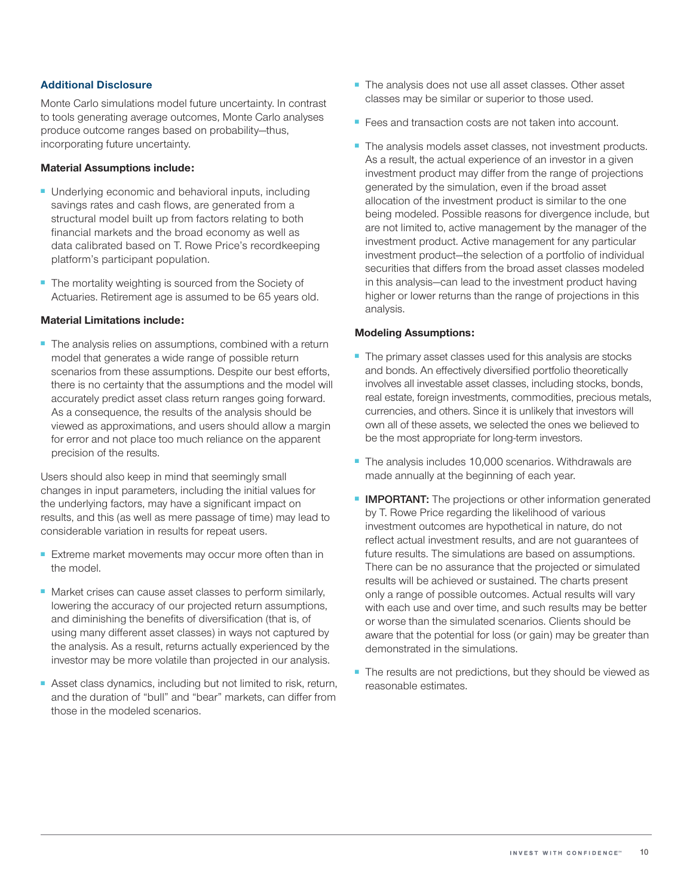## **Additional Disclosure**

Monte Carlo simulations model future uncertainty. In contrast to tools generating average outcomes, Monte Carlo analyses produce outcome ranges based on probability—thus, incorporating future uncertainty.

## **Material Assumptions include:**

- Underlying economic and behavioral inputs, including savings rates and cash flows, are generated from a structural model built up from factors relating to both financial markets and the broad economy as well as data calibrated based on T. Rowe Price's recordkeeping platform's participant population.
- The mortality weighting is sourced from the Society of Actuaries. Retirement age is assumed to be 65 years old.

## **Material Limitations include:**

■ The analysis relies on assumptions, combined with a return model that generates a wide range of possible return scenarios from these assumptions. Despite our best efforts, there is no certainty that the assumptions and the model will accurately predict asset class return ranges going forward. As a consequence, the results of the analysis should be viewed as approximations, and users should allow a margin for error and not place too much reliance on the apparent precision of the results.

Users should also keep in mind that seemingly small changes in input parameters, including the initial values for the underlying factors, may have a significant impact on results, and this (as well as mere passage of time) may lead to considerable variation in results for repeat users.

- Extreme market movements may occur more often than in the model.
- Market crises can cause asset classes to perform similarly, lowering the accuracy of our projected return assumptions, and diminishing the benefits of diversification (that is, of using many different asset classes) in ways not captured by the analysis. As a result, returns actually experienced by the investor may be more volatile than projected in our analysis.
- Asset class dynamics, including but not limited to risk, return, and the duration of "bull" and "bear" markets, can differ from those in the modeled scenarios.
- The analysis does not use all asset classes. Other asset classes may be similar or superior to those used.
- Fees and transaction costs are not taken into account.
- The analysis models asset classes, not investment products. As a result, the actual experience of an investor in a given investment product may differ from the range of projections generated by the simulation, even if the broad asset allocation of the investment product is similar to the one being modeled. Possible reasons for divergence include, but are not limited to, active management by the manager of the investment product. Active management for any particular investment product—the selection of a portfolio of individual securities that differs from the broad asset classes modeled in this analysis—can lead to the investment product having higher or lower returns than the range of projections in this analysis.

## **Modeling Assumptions:**

- The primary asset classes used for this analysis are stocks and bonds. An effectively diversified portfolio theoretically involves all investable asset classes, including stocks, bonds, real estate, foreign investments, commodities, precious metals, currencies, and others. Since it is unlikely that investors will own all of these assets, we selected the ones we believed to be the most appropriate for long-term investors.
- The analysis includes 10,000 scenarios. Withdrawals are made annually at the beginning of each year.
- **IMPORTANT:** The projections or other information generated by T. Rowe Price regarding the likelihood of various investment outcomes are hypothetical in nature, do not reflect actual investment results, and are not guarantees of future results. The simulations are based on assumptions. There can be no assurance that the projected or simulated results will be achieved or sustained. The charts present only a range of possible outcomes. Actual results will vary with each use and over time, and such results may be better or worse than the simulated scenarios. Clients should be aware that the potential for loss (or gain) may be greater than demonstrated in the simulations.
- The results are not predictions, but they should be viewed as reasonable estimates.